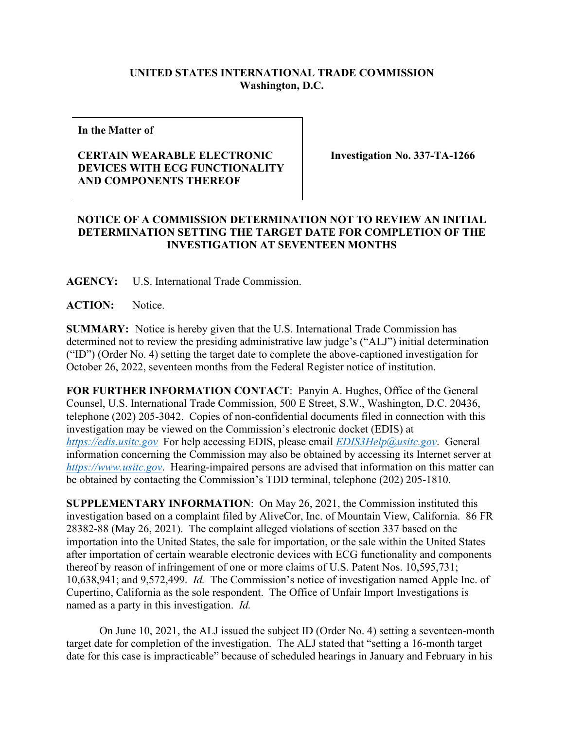## **UNITED STATES INTERNATIONAL TRADE COMMISSION Washington, D.C.**

**In the Matter of** 

## **CERTAIN WEARABLE ELECTRONIC DEVICES WITH ECG FUNCTIONALITY AND COMPONENTS THEREOF**

**Investigation No. 337-TA-1266**

## **NOTICE OF A COMMISSION DETERMINATION NOT TO REVIEW AN INITIAL DETERMINATION SETTING THE TARGET DATE FOR COMPLETION OF THE INVESTIGATION AT SEVENTEEN MONTHS**

**AGENCY:** U.S. International Trade Commission.

**ACTION:** Notice.

**SUMMARY:** Notice is hereby given that the U.S. International Trade Commission has determined not to review the presiding administrative law judge's ("ALJ") initial determination ("ID") (Order No. 4) setting the target date to complete the above-captioned investigation for October 26, 2022, seventeen months from the Federal Register notice of institution.

**FOR FURTHER INFORMATION CONTACT**: Panyin A. Hughes, Office of the General Counsel, U.S. International Trade Commission, 500 E Street, S.W., Washington, D.C. 20436, telephone (202) 205-3042. Copies of non-confidential documents filed in connection with this investigation may be viewed on the Commission's electronic docket (EDIS) at *[https://edis.usitc.gov](https://edis.usitc.gov/)* For help accessing EDIS, please email *[EDIS3Help@usitc.gov](mailto:EDIS3Help@usitc.gov)*. General information concerning the Commission may also be obtained by accessing its Internet server at *[https://www.usitc.gov](https://www.usitc.gov/)*. Hearing-impaired persons are advised that information on this matter can be obtained by contacting the Commission's TDD terminal, telephone (202) 205-1810.

**SUPPLEMENTARY INFORMATION**: On May 26, 2021, the Commission instituted this investigation based on a complaint filed by AliveCor, Inc. of Mountain View, California. 86 FR 28382-88 (May 26, 2021). The complaint alleged violations of section 337 based on the importation into the United States, the sale for importation, or the sale within the United States after importation of certain wearable electronic devices with ECG functionality and components thereof by reason of infringement of one or more claims of U.S. Patent Nos. 10,595,731; 10,638,941; and 9,572,499. *Id.* The Commission's notice of investigation named Apple Inc. of Cupertino, California as the sole respondent. The Office of Unfair Import Investigations is named as a party in this investigation. *Id.*

On June 10, 2021, the ALJ issued the subject ID (Order No. 4) setting a seventeen-month target date for completion of the investigation. The ALJ stated that "setting a 16-month target date for this case is impracticable" because of scheduled hearings in January and February in his